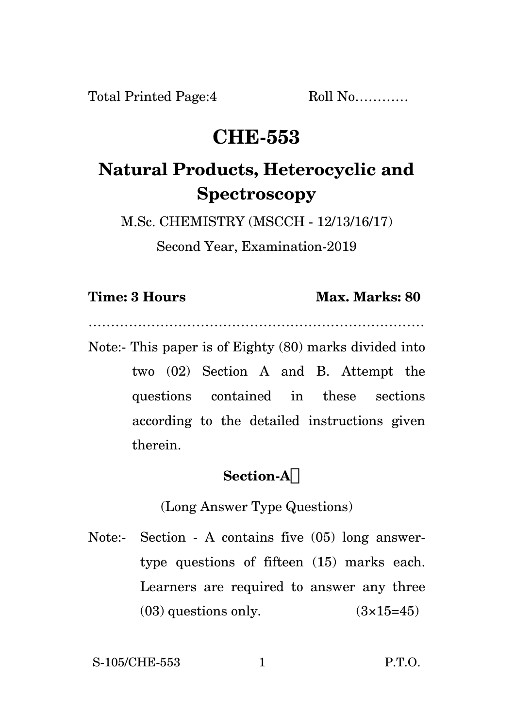## **CHE-553**

# **Natural Products, Heterocyclic and Spectroscopy**

M.Sc. CHEMISTRY (MSCCH - 12/13/16/17)

Second Year, Examination-2019

…………………………………………………………………

### **Time: 3 Hours Max. Marks: 80**

Note:- This paper is of Eighty (80) marks divided into two (02) Section A and B. Attempt the questions contained in these sections according to the detailed instructions given therein.

## **Section-A**

(Long Answer Type Questions)

Note:- Section - A contains five (05) long answertype questions of fifteen (15) marks each. Learners are required to answer any three  $(03)$  questions only.  $(3\times15=45)$ 

S-105/CHE-553 1 P.T.O.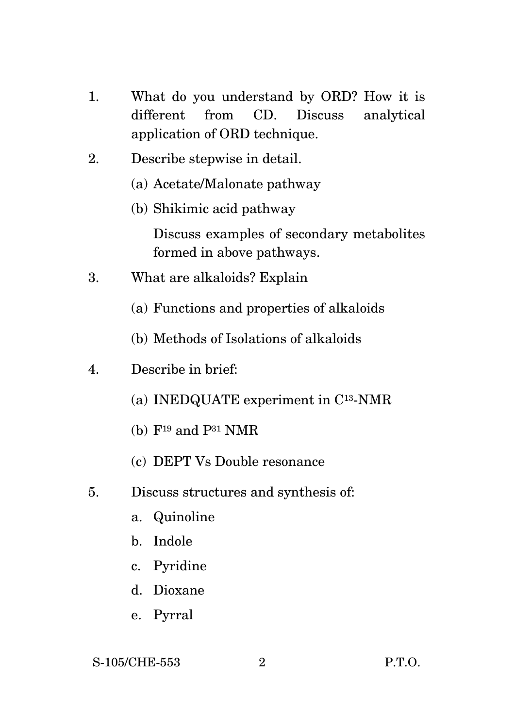- 1. What do you understand by ORD? How it is different from CD. Discuss analytical application of ORD technique.
- 2. Describe stepwise in detail.
	- (a) Acetate/Malonate pathway
	- (b) Shikimic acid pathway Discuss examples of secondary metabolites formed in above pathways.
- 3. What are alkaloids? Explain
	- (a) Functions and properties of alkaloids
	- (b) Methods of Isolations of alkaloids
- 4. Describe in brief:
	- (a) INEDQUATE experiment in C13-NMR
	- $(b)$  F<sup>19</sup> and P<sup>31</sup> NMR
	- (c) DEPT Vs Double resonance
- 5. Discuss structures and synthesis of:
	- a. Quinoline
	- b. Indole
	- c. Pyridine
	- d. Dioxane
	- e. Pyrral

S-105/CHE-553 2 P.T.O.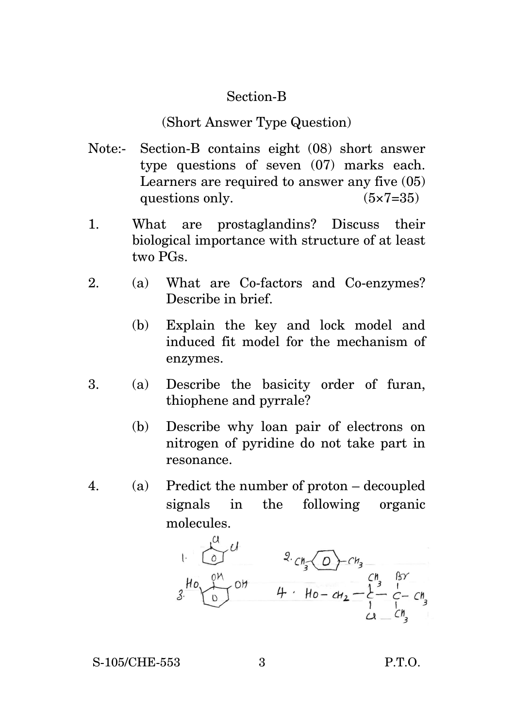#### Section-B

#### (Short Answer Type Question)

- Note:- Section-B contains eight (08) short answer type questions of seven (07) marks each. Learners are required to answer any five (05) questions only.  $(5 \times 7 = 35)$
- 1. What are prostaglandins? Discuss their biological importance with structure of at least two PGs.
- 2. (a) What are Co-factors and Co-enzymes? Describe in brief.
	- (b) Explain the key and lock model and induced fit model for the mechanism of enzymes.
- 3. (a) Describe the basicity order of furan, thiophene and pyrrale?
	- (b) Describe why loan pair of electrons on nitrogen of pyridine do not take part in resonance.
- 4. (a) Predict the number of proton decoupled signals in the following organic molecules.

$$
\begin{array}{ccc}\n & 0 & 0 & 0 \\
& 0 & 0 & 0 \\
& 0 & 0 & 0\n\end{array}
$$
\n
$$
\begin{array}{ccc}\n & 2 & c_{1} & 0 & c_{1} & 0 \\
& 0 & 0 & 0 & 0 \\
& 0 & 0 & 0 & 0\n\end{array}
$$
\n
$$
\begin{array}{ccc}\n & 2 & c_{1} & 0 & c_{1} & 0 \\
& 2 & c_{1} & 0 & c_{1} & 0 \\
& 0 & 0 & 0 & 0 & 0 \\
& 0 & 0 & 0 & 0 & 0\n\end{array}
$$

S-105/CHE-553 3 P.T.O.